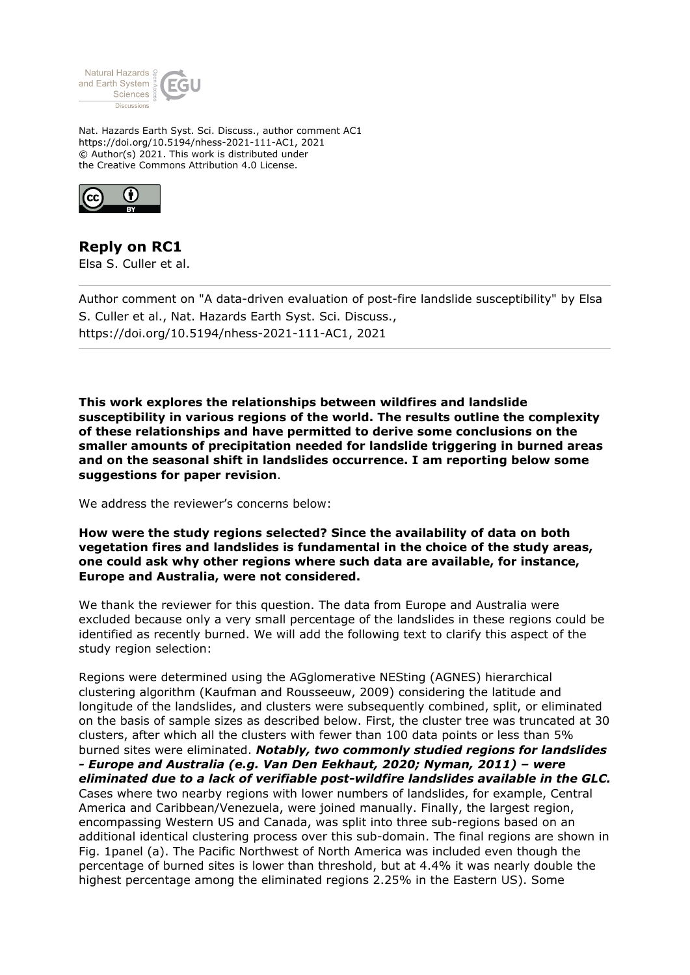

Nat. Hazards Earth Syst. Sci. Discuss., author comment AC1 https://doi.org/10.5194/nhess-2021-111-AC1, 2021 © Author(s) 2021. This work is distributed under the Creative Commons Attribution 4.0 License.



**Reply on RC1** Elsa S. Culler et al.

Author comment on "A data-driven evaluation of post-fire landslide susceptibility" by Elsa S. Culler et al., Nat. Hazards Earth Syst. Sci. Discuss., https://doi.org/10.5194/nhess-2021-111-AC1, 2021

**This work explores the relationships between wildfires and landslide susceptibility in various regions of the world. The results outline the complexity of these relationships and have permitted to derive some conclusions on the smaller amounts of precipitation needed for landslide triggering in burned areas and on the seasonal shift in landslides occurrence. I am reporting below some suggestions for paper revision**.

We address the reviewer's concerns below:

**How were the study regions selected? Since the availability of data on both vegetation fires and landslides is fundamental in the choice of the study areas, one could ask why other regions where such data are available, for instance, Europe and Australia, were not considered.**

We thank the reviewer for this question. The data from Europe and Australia were excluded because only a very small percentage of the landslides in these regions could be identified as recently burned. We will add the following text to clarify this aspect of the study region selection:

Regions were determined using the AGglomerative NESting (AGNES) hierarchical clustering algorithm (Kaufman and Rousseeuw, 2009) considering the latitude and longitude of the landslides, and clusters were subsequently combined, split, or eliminated on the basis of sample sizes as described below. First, the cluster tree was truncated at 30 clusters, after which all the clusters with fewer than 100 data points or less than 5% burned sites were eliminated. *Notably, two commonly studied regions for landslides - Europe and Australia (e.g. Van Den Eekhaut, 2020; Nyman, 2011) – were eliminated due to a lack of verifiable post-wildfire landslides available in the GLC.* Cases where two nearby regions with lower numbers of landslides, for example, Central America and Caribbean/Venezuela, were joined manually. Finally, the largest region, encompassing Western US and Canada, was split into three sub-regions based on an additional identical clustering process over this sub-domain. The final regions are shown in Fig. 1panel (a). The Pacific Northwest of North America was included even though the

percentage of burned sites is lower than threshold, but at 4.4% it was nearly double the highest percentage among the eliminated regions 2.25% in the Eastern US). Some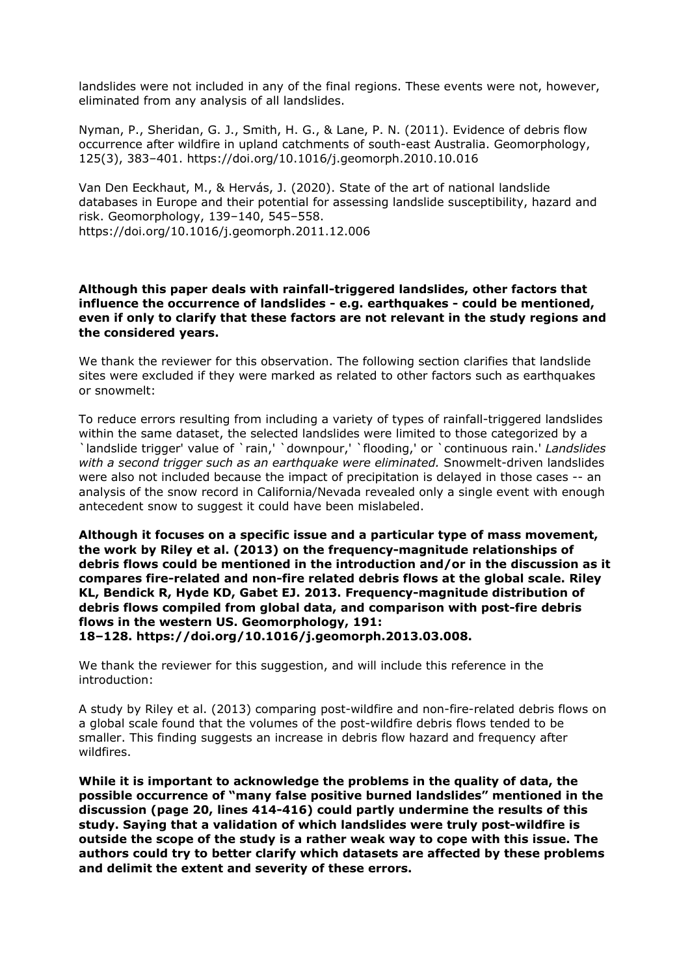landslides were not included in any of the final regions. These events were not, however, eliminated from any analysis of all landslides.

Nyman, P., Sheridan, G. J., Smith, H. G., & Lane, P. N. (2011). Evidence of debris flow occurrence after wildfire in upland catchments of south-east Australia. Geomorphology, 125(3), 383–401. https://doi.org/10.1016/j.geomorph.2010.10.016

Van Den Eeckhaut, M., & Hervás, J. (2020). State of the art of national landslide databases in Europe and their potential for assessing landslide susceptibility, hazard and risk. Geomorphology, 139–140, 545–558. https://doi.org/10.1016/j.geomorph.2011.12.006

**Although this paper deals with rainfall-triggered landslides, other factors that influence the occurrence of landslides - e.g. earthquakes - could be mentioned,**

**even if only to clarify that these factors are not relevant in the study regions and the considered years.**

We thank the reviewer for this observation. The following section clarifies that landslide sites were excluded if they were marked as related to other factors such as earthquakes or snowmelt:

To reduce errors resulting from including a variety of types of rainfall-triggered landslides within the same dataset, the selected landslides were limited to those categorized by a `landslide trigger' value of `rain,' `downpour,' `flooding,' or `continuous rain.' *Landslides with a second trigger such as an earthquake were eliminated.* Snowmelt-driven landslides were also not included because the impact of precipitation is delayed in those cases -- an analysis of the snow record in California/Nevada revealed only a single event with enough antecedent snow to suggest it could have been mislabeled.

**Although it focuses on a specific issue and a particular type of mass movement, the work by Riley et al. (2013) on the frequency-magnitude relationships of debris flows could be mentioned in the introduction and/or in the discussion as it compares fire-related and non-fire related debris flows at the global scale. Riley KL, Bendick R, Hyde KD, Gabet EJ. 2013. Frequency-magnitude distribution of debris flows compiled from global data, and comparison with post-fire debris flows in the western US. Geomorphology, 191: 18–128. https://doi.org/10.1016/j.geomorph.2013.03.008.**

We thank the reviewer for this suggestion, and will include this reference in the introduction:

A study by Riley et al. (2013) comparing post-wildfire and non-fire-related debris flows on a global scale found that the volumes of the post-wildfire debris flows tended to be smaller. This finding suggests an increase in debris flow hazard and frequency after wildfires.

**While it is important to acknowledge the problems in the quality of data, the possible occurrence of "many false positive burned landslides" mentioned in the discussion (page 20, lines 414-416) could partly undermine the results of this study. Saying that a validation of which landslides were truly post-wildfire is outside the scope of the study is a rather weak way to cope with this issue. The authors could try to better clarify which datasets are affected by these problems and delimit the extent and severity of these errors.**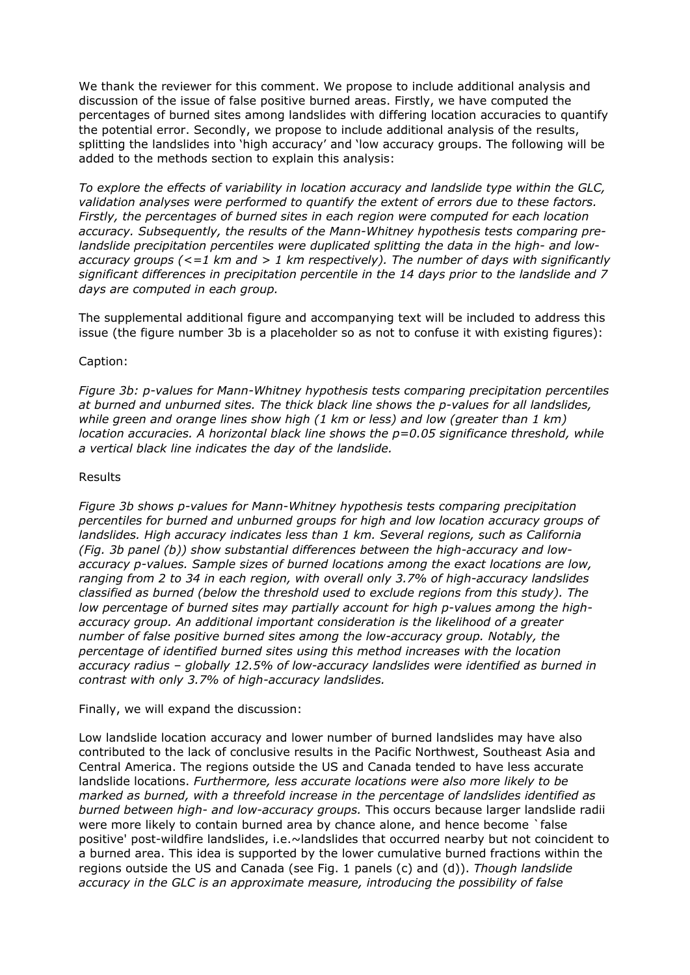We thank the reviewer for this comment. We propose to include additional analysis and discussion of the issue of false positive burned areas. Firstly, we have computed the percentages of burned sites among landslides with differing location accuracies to quantify the potential error. Secondly, we propose to include additional analysis of the results, splitting the landslides into 'high accuracy' and 'low accuracy groups. The following will be added to the methods section to explain this analysis:

*To explore the effects of variability in location accuracy and landslide type within the GLC, validation analyses were performed to quantify the extent of errors due to these factors. Firstly, the percentages of burned sites in each region were computed for each location accuracy. Subsequently, the results of the Mann-Whitney hypothesis tests comparing prelandslide precipitation percentiles were duplicated splitting the data in the high- and lowaccuracy groups (<=1 km and > 1 km respectively). The number of days with significantly significant differences in precipitation percentile in the 14 days prior to the landslide and 7 days are computed in each group.*

The supplemental additional figure and accompanying text will be included to address this issue (the figure number 3b is a placeholder so as not to confuse it with existing figures):

### Caption:

*Figure 3b: p-values for Mann-Whitney hypothesis tests comparing precipitation percentiles at burned and unburned sites. The thick black line shows the p-values for all landslides, while green and orange lines show high (1 km or less) and low (greater than 1 km) location accuracies. A horizontal black line shows the p=0.05 significance threshold, while a vertical black line indicates the day of the landslide.*

#### Results

*Figure 3b shows p-values for Mann-Whitney hypothesis tests comparing precipitation percentiles for burned and unburned groups for high and low location accuracy groups of landslides. High accuracy indicates less than 1 km. Several regions, such as California (Fig. 3b panel (b)) show substantial differences between the high-accuracy and lowaccuracy p-values. Sample sizes of burned locations among the exact locations are low, ranging from 2 to 34 in each region, with overall only 3.7% of high-accuracy landslides classified as burned (below the threshold used to exclude regions from this study). The low percentage of burned sites may partially account for high p-values among the highaccuracy group. An additional important consideration is the likelihood of a greater number of false positive burned sites among the low-accuracy group. Notably, the percentage of identified burned sites using this method increases with the location accuracy radius – globally 12.5% of low-accuracy landslides were identified as burned in contrast with only 3.7% of high-accuracy landslides.*

## Finally, we will expand the discussion:

Low landslide location accuracy and lower number of burned landslides may have also contributed to the lack of conclusive results in the Pacific Northwest, Southeast Asia and Central America. The regions outside the US and Canada tended to have less accurate landslide locations. *Furthermore, less accurate locations were also more likely to be marked as burned, with a threefold increase in the percentage of landslides identified as burned between high- and low-accuracy groups.* This occurs because larger landslide radii were more likely to contain burned area by chance alone, and hence become `false positive' post-wildfire landslides, i.e.~landslides that occurred nearby but not coincident to a burned area. This idea is supported by the lower cumulative burned fractions within the regions outside the US and Canada (see Fig. 1 panels (c) and (d)). *Though landslide accuracy in the GLC is an approximate measure, introducing the possibility of false*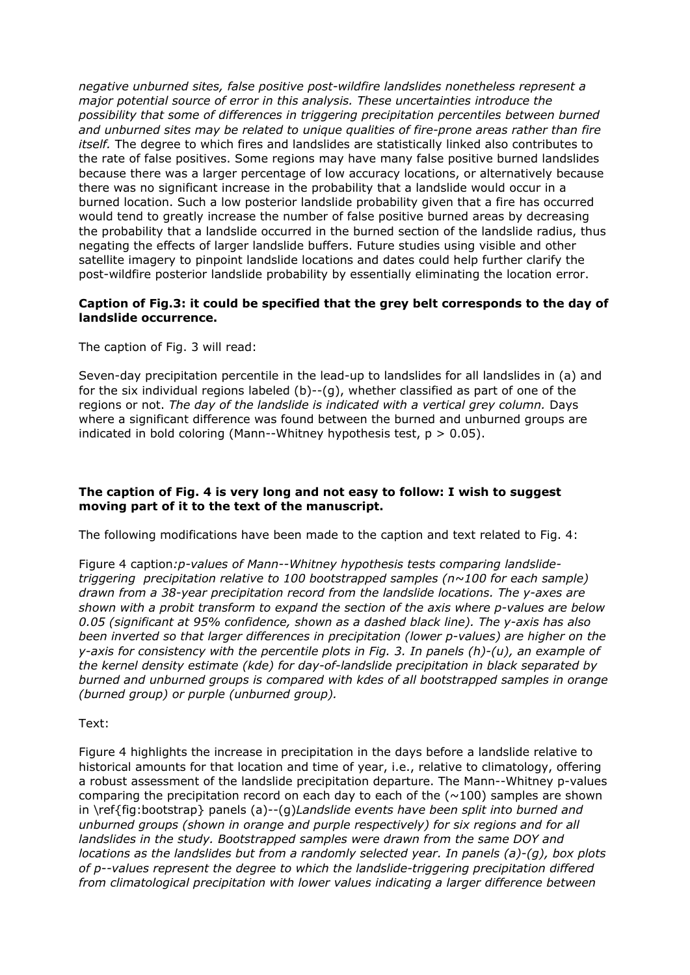*negative unburned sites, false positive post-wildfire landslides nonetheless represent a major potential source of error in this analysis. These uncertainties introduce the possibility that some of differences in triggering precipitation percentiles between burned and unburned sites may be related to unique qualities of fire-prone areas rather than fire itself.* The degree to which fires and landslides are statistically linked also contributes to the rate of false positives. Some regions may have many false positive burned landslides because there was a larger percentage of low accuracy locations, or alternatively because there was no significant increase in the probability that a landslide would occur in a burned location. Such a low posterior landslide probability given that a fire has occurred would tend to greatly increase the number of false positive burned areas by decreasing the probability that a landslide occurred in the burned section of the landslide radius, thus negating the effects of larger landslide buffers. Future studies using visible and other satellite imagery to pinpoint landslide locations and dates could help further clarify the post-wildfire posterior landslide probability by essentially eliminating the location error.

## **Caption of Fig.3: it could be specified that the grey belt corresponds to the day of landslide occurrence.**

The caption of Fig. 3 will read:

Seven-day precipitation percentile in the lead-up to landslides for all landslides in (a) and for the six individual regions labeled (b)--(g), whether classified as part of one of the regions or not. *The day of the landslide is indicated with a vertical grey column.* Days where a significant difference was found between the burned and unburned groups are indicated in bold coloring (Mann--Whitney hypothesis test,  $p > 0.05$ ).

# **The caption of Fig. 4 is very long and not easy to follow: I wish to suggest moving part of it to the text of the manuscript.**

The following modifications have been made to the caption and text related to Fig. 4:

Figure 4 caption*:p-values of Mann--Whitney hypothesis tests comparing landslidetriggering precipitation relative to 100 bootstrapped samples (n~100 for each sample) drawn from a 38-year precipitation record from the landslide locations. The y-axes are shown with a probit transform to expand the section of the axis where p-values are below 0.05 (significant at 95% confidence, shown as a dashed black line). The y-axis has also been inverted so that larger differences in precipitation (lower p-values) are higher on the y-axis for consistency with the percentile plots in Fig. 3. In panels (h)-(u), an example of the kernel density estimate (kde) for day-of-landslide precipitation in black separated by burned and unburned groups is compared with kdes of all bootstrapped samples in orange (burned group) or purple (unburned group).*

Text:

Figure 4 highlights the increase in precipitation in the days before a landslide relative to historical amounts for that location and time of year, i.e., relative to climatology, offering a robust assessment of the landslide precipitation departure. The Mann--Whitney p-values comparing the precipitation record on each day to each of the  $(\sim 100)$  samples are shown in \ref{fig:bootstrap} panels (a)--(g)*Landslide events have been split into burned and unburned groups (shown in orange and purple respectively) for six regions and for all landslides in the study. Bootstrapped samples were drawn from the same DOY and locations as the landslides but from a randomly selected year. In panels (a)-(g), box plots of p--values represent the degree to which the landslide-triggering precipitation differed from climatological precipitation with lower values indicating a larger difference between*